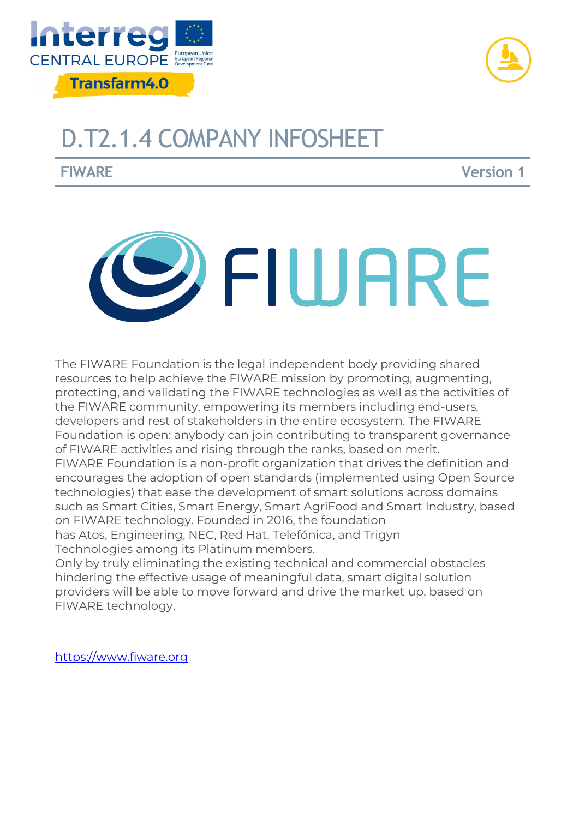



# D.T2.1.4 COMPANY INFOSHEET

**FIWARE Version 1**



The FIWARE Foundation is the legal independent body providing shared resources to help achieve the FIWARE mission by promoting, augmenting, protecting, and validating the FIWARE technologies as well as the activities of the FIWARE community, empowering its members including end-users, developers and rest of stakeholders in the entire ecosystem. The FIWARE Foundation is open: anybody can join contributing to transparent governance of FIWARE activities and rising through the ranks, based on merit. FIWARE Foundation is a non-profit organization that drives the definition and encourages the adoption of open standards (implemented using Open Source technologies) that ease the development of smart solutions across domains such as Smart Cities, Smart Energy, Smart AgriFood and Smart Industry, based on FIWARE technology. Founded in 2016, the foundation has Atos, Engineering, NEC, Red Hat, Telefónica, and Trigyn

Technologies among its Platinum members.

Only by truly eliminating the existing technical and commercial obstacles hindering the effective usage of meaningful data, smart digital solution providers will be able to move forward and drive the market up, based on FIWARE technology.

[https://www.fiware.org](https://www.fiware.org/)